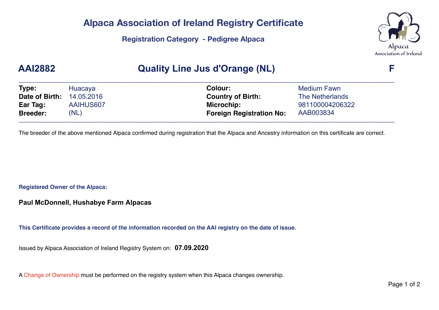# **Alpaca Association of Ireland Registry Certificate**

**Registration Category - Pedigree Alpaca** 



### **AAI2882 Quality Line Jus d'Orange (NL) F**

| Type:           | Huacaya    | Colour:                         | <b>Medium Fawn</b> |  |
|-----------------|------------|---------------------------------|--------------------|--|
| Date of Birth:  | 14.05.2016 | <b>Country of Birth:</b>        | The Netherlands    |  |
| Ear Tag:        | AAIHUS607  | Microchip:                      | 981100004206322    |  |
| <b>Breeder:</b> | (NL)       | <b>Foreign Registration No:</b> | AAB003834          |  |

The breeder of the above mentioned Alpaca confirmed during registration that the Alpaca and Ancestry information on this certificate are correct.

**Registered Owner of the Alpaca:**

**Paul McDonnell, Hushabye Farm Alpacas**

**This Certificate provides a record of the information recorded on the AAI registry on the date of issue.**

Issued by Alpaca Association of Ireland Registry System on: **07.09.2020**

A Change of Ownership must be performed on the registry system when this Alpaca changes ownership.